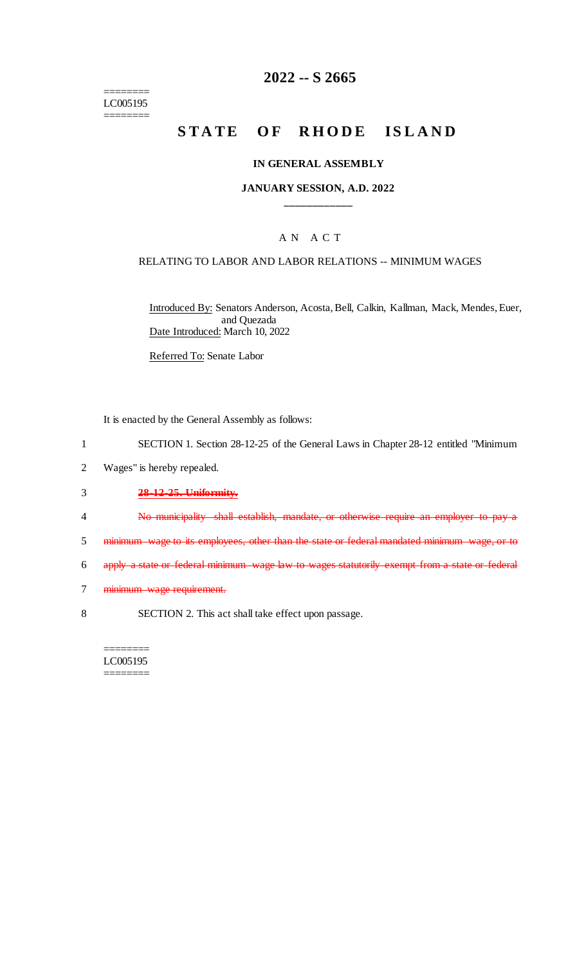$=$ LC005195 ========

## **2022 -- S 2665**

# **STATE OF RHODE ISLAND**

#### **IN GENERAL ASSEMBLY**

#### **JANUARY SESSION, A.D. 2022 \_\_\_\_\_\_\_\_\_\_\_\_**

### A N A C T

#### RELATING TO LABOR AND LABOR RELATIONS -- MINIMUM WAGES

Introduced By: Senators Anderson, Acosta, Bell, Calkin, Kallman, Mack, Mendes, Euer, and Quezada Date Introduced: March 10, 2022

Referred To: Senate Labor

It is enacted by the General Assembly as follows:

- 1 SECTION 1. Section 28-12-25 of the General Laws in Chapter 28-12 entitled "Minimum
- 2 Wages" is hereby repealed.

### 3 **28-12-25. Uniformity.**

- 4 No municipality shall establish, mandate, or otherwise require an employer to pay a
- 5 minimum wage to its employees, other than the state or federal mandated minimum wage, or to
- 6 apply a state or federal minimum wage law to wages statutorily exempt from a state or federal
- 7 minimum wage requirement.
- 8 SECTION 2. This act shall take effect upon passage.

======== LC005195 ========